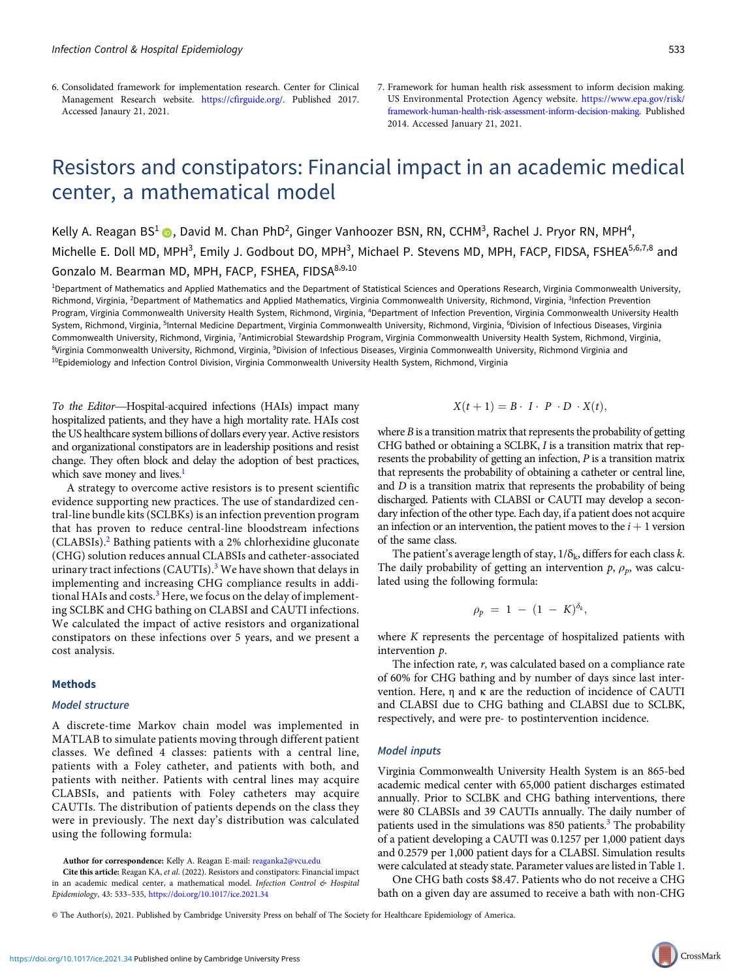- 6. Consolidated framework for implementation research. Center for Clinical Management Research website. <https://cfirguide.org/>. Published 2017. Accessed Janaury 21, 2021.
- 7. Framework for human health risk assessment to inform decision making. US Environmental Protection Agency website. [https://www.epa.gov/risk/](https://www.epa.gov/risk/framework-human-health-risk-assessment-inform-decision-making) [framework-human-health-risk-assessment-inform-decision-making.](https://www.epa.gov/risk/framework-human-health-risk-assessment-inform-decision-making) Published 2014. Accessed January 21, 2021.

# Resistors and constipators: Financial impact in an academic medical center, a mathematical model

Kelly A. Reagan BS<sup>1</sup> (D), David M. Chan PhD<sup>2</sup>, Ginger Vanhoozer BSN, RN, CCHM<sup>3</sup>, Rachel J. Pryor RN, MPH<sup>4</sup>, Michelle E. Doll MD, MPH<sup>3</sup>, Emily J. Godbout DO, MPH<sup>3</sup>, Michael P. Stevens MD, MPH, FACP, FIDSA, FSHEA<sup>5,6,7,8</sup> and Gonzalo M. Bearman MD, MPH, FACP, FSHEA, FIDSA<sup>8,9,10</sup>

<sup>1</sup>Department of Mathematics and Applied Mathematics and the Department of Statistical Sciences and Operations Research, Virginia Commonwealth University, Richmond, Virginia, <sup>2</sup>Department of Mathematics and Applied Mathematics, Virginia Commonwealth University, Richmond, Virginia, <sup>3</sup>Infection Prevention Program, Virginia Commonwealth University Health System, Richmond, Virginia, <sup>4</sup>Department of Infection Prevention, Virginia Commonwealth University Health System, Richmond, Virginia, <sup>5</sup>Internal Medicine Department, Virginia Commonwealth University, Richmond, Virginia, <sup>6</sup>Division of Infectious Diseases, Virginia Commonwealth University, Richmond, Virginia, <sup>7</sup>Antimicrobial Stewardship Program, Virginia Commonwealth University Health System, Richmond, Virginia, <sup>8</sup>Virginia Commonwealth University, Richmond, Virginia, <sup>9</sup>Division of Infectious Diseases, Virginia Commonwealth University, Richmond Virginia and  $10$ Epidemiology and Infection Control Division, Virginia Commonwealth University Health System, Richmond, Virginia

To the Editor—Hospital-acquired infections (HAIs) impact many hospitalized patients, and they have a high mortality rate. HAIs cost the US healthcare system billions of dollars every year. Active resistors and organizational constipators are in leadership positions and resist change. They often block and delay the adoption of best practices, which save money and lives.<sup>1</sup>

A strategy to overcome active resistors is to present scientific evidence supporting new practices. The use of standardized central-line bundle kits (SCLBKs) is an infection prevention program that has proven to reduce central-line bloodstream infections (CLABSIs).<sup>2</sup> Bathing patients with a 2% chlorhexidine gluconate (CHG) solution reduces annual CLABSIs and catheter-associated urinary tract infections (CAUTIs).<sup>3</sup> We have shown that delays in implementing and increasing CHG compliance results in additional HAIs and costs.<sup>3</sup> Here, we focus on the delay of implementing SCLBK and CHG bathing on CLABSI and CAUTI infections. We calculated the impact of active resistors and organizational constipators on these infections over 5 years, and we present a cost analysis.

#### **Methods**

### Model structure

A discrete-time Markov chain model was implemented in MATLAB to simulate patients moving through different patient classes. We defined 4 classes: patients with a central line, patients with a Foley catheter, and patients with both, and patients with neither. Patients with central lines may acquire CLABSIs, and patients with Foley catheters may acquire CAUTIs. The distribution of patients depends on the class they were in previously. The next day's distribution was calculated using the following formula:

Author for correspondence: Kelly A. Reagan E-mail: [reaganka2@vcu.edu](mailto:reaganka2@vcu.edu)

Cite this article: Reagan KA, et al. (2022). Resistors and constipators: Financial impact in an academic medical center, a mathematical model. Infection Control & Hospital Epidemiology, 43: 533–535, <https://doi.org/10.1017/ice.2021.34>

## $X(t+1) = B \cdot I \cdot P \cdot D \cdot X(t),$

where  $B$  is a transition matrix that represents the probability of getting CHG bathed or obtaining a SCLBK, I is a transition matrix that represents the probability of getting an infection, P is a transition matrix that represents the probability of obtaining a catheter or central line, and  $D$  is a transition matrix that represents the probability of being discharged. Patients with CLABSI or CAUTI may develop a secondary infection of the other type. Each day, if a patient does not acquire an infection or an intervention, the patient moves to the  $i + 1$  version of the same class.

The patient's average length of stay,  $1/\delta_k$ , differs for each class k. The daily probability of getting an intervention  $p$ ,  $\rho_p$ , was calculated using the following formula:

$$
\rho_p = 1 - (1 - K)^{\delta_k},
$$

where K represents the percentage of hospitalized patients with intervention p.

The infection rate, r, was calculated based on a compliance rate of 60% for CHG bathing and by number of days since last intervention. Here, η and κ are the reduction of incidence of CAUTI and CLABSI due to CHG bathing and CLABSI due to SCLBK, respectively, and were pre- to postintervention incidence.

#### Model inputs

Virginia Commonwealth University Health System is an 865-bed academic medical center with 65,000 patient discharges estimated annually. Prior to SCLBK and CHG bathing interventions, there were 80 CLABSIs and 39 CAUTIs annually. The daily number of patients used in the simulations was  $850$  patients.<sup>3</sup> The probability of a patient developing a CAUTI was 0.1257 per 1,000 patient days and 0.2579 per 1,000 patient days for a CLABSI. Simulation results were calculated at steady state. Parameter values are listed in Table 1.

One CHG bath costs \$8.47. Patients who do not receive a CHG bath on a given day are assumed to receive a bath with non-CHG

© The Author(s), 2021. Published by Cambridge University Press on behalf of The Society for Healthcare Epidemiology of America.

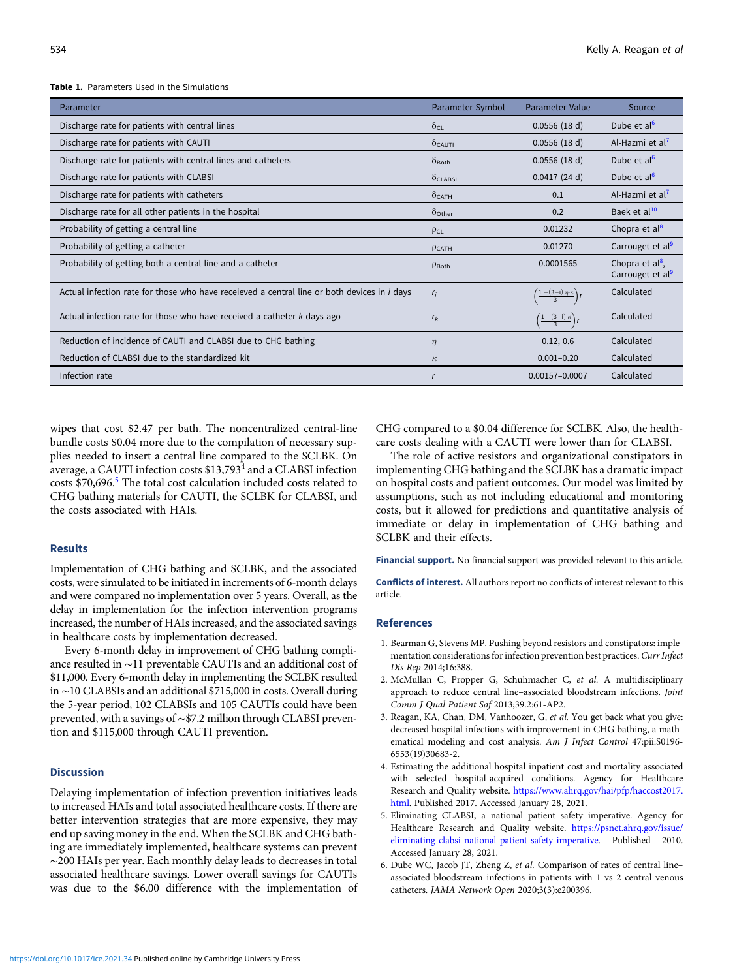#### Table 1. Parameters Used in the Simulations

| Parameter                                                                                   | Parameter Symbol           | <b>Parameter Value</b>                        | Source                                                       |
|---------------------------------------------------------------------------------------------|----------------------------|-----------------------------------------------|--------------------------------------------------------------|
| Discharge rate for patients with central lines                                              | $\delta_{\text{CI}}$       | 0.0556(18 d)                                  | Dube et al <sup>6</sup>                                      |
| Discharge rate for patients with CAUTI                                                      | $\delta_{CAUTI}$           | 0.0556(18 d)                                  | Al-Hazmi et al <sup>7</sup>                                  |
| Discharge rate for patients with central lines and catheters                                | $\delta_{\text{Both}}$     | 0.0556(18 d)                                  | Dube et al <sup>6</sup>                                      |
| Discharge rate for patients with CLABSI                                                     | $\delta$ <sub>CLABSI</sub> | 0.0417(24 d)                                  | Dube et al <sup>6</sup>                                      |
| Discharge rate for patients with catheters                                                  | $\delta_{\mathsf{CATH}}$   | 0.1                                           | Al-Hazmi et al <sup>7</sup>                                  |
| Discharge rate for all other patients in the hospital                                       | $\delta$ Other             | 0.2                                           | Baek et al <sup>10</sup>                                     |
| Probability of getting a central line                                                       | $\rho_{CL}$                | 0.01232                                       | Chopra et al <sup>8</sup>                                    |
| Probability of getting a catheter                                                           | $P_{CATH}$                 | 0.01270                                       | Carrouget et al <sup>9</sup>                                 |
| Probability of getting both a central line and a catheter                                   | $P$ Both                   | 0.0001565                                     | Chopra et al $\frac{8}{1}$ .<br>Carrouget et al <sup>9</sup> |
| Actual infection rate for those who have receieved a central line or both devices in i days | $r_i$                      | $\frac{1-(3-i)\cdot\eta\cdot\kappa}{3}$       | Calculated                                                   |
| Actual infection rate for those who have received a catheter k days ago                     | $r_{k}$                    | $\frac{\left(1-(3-i)\cdot\kappa\right)}{3}$ r | Calculated                                                   |
| Reduction of incidence of CAUTI and CLABSI due to CHG bathing                               | $\eta$                     | 0.12, 0.6                                     | Calculated                                                   |
| Reduction of CLABSI due to the standardized kit                                             | $\kappa$                   | $0.001 - 0.20$                                | Calculated                                                   |
| Infection rate                                                                              |                            | 0.00157-0.0007                                | Calculated                                                   |

wipes that cost \$2.47 per bath. The noncentralized central-line bundle costs \$0.04 more due to the compilation of necessary supplies needed to insert a central line compared to the SCLBK. On average, a CAUTI infection costs \$13,793<sup>4</sup> and a CLABSI infection costs \$70,696.<sup>5</sup> The total cost calculation included costs related to CHG bathing materials for CAUTI, the SCLBK for CLABSI, and the costs associated with HAIs.

#### Results

Implementation of CHG bathing and SCLBK, and the associated costs, were simulated to be initiated in increments of 6-month delays and were compared no implementation over 5 years. Overall, as the delay in implementation for the infection intervention programs increased, the number of HAIs increased, and the associated savings in healthcare costs by implementation decreased.

Every 6-month delay in improvement of CHG bathing compliance resulted in ∼11 preventable CAUTIs and an additional cost of \$11,000. Every 6-month delay in implementing the SCLBK resulted in ∼10 CLABSIs and an additional \$715,000 in costs. Overall during the 5-year period, 102 CLABSIs and 105 CAUTIs could have been prevented, with a savings of ∼\$7.2 million through CLABSI prevention and \$115,000 through CAUTI prevention.

### **Discussion**

Delaying implementation of infection prevention initiatives leads to increased HAIs and total associated healthcare costs. If there are better intervention strategies that are more expensive, they may end up saving money in the end. When the SCLBK and CHG bathing are immediately implemented, healthcare systems can prevent ∼200 HAIs per year. Each monthly delay leads to decreases in total associated healthcare savings. Lower overall savings for CAUTIs was due to the \$6.00 difference with the implementation of CHG compared to a \$0.04 difference for SCLBK. Also, the healthcare costs dealing with a CAUTI were lower than for CLABSI.

The role of active resistors and organizational constipators in implementing CHG bathing and the SCLBK has a dramatic impact on hospital costs and patient outcomes. Our model was limited by assumptions, such as not including educational and monitoring costs, but it allowed for predictions and quantitative analysis of immediate or delay in implementation of CHG bathing and SCLBK and their effects.

Financial support. No financial support was provided relevant to this article.

Conflicts of interest. All authors report no conflicts of interest relevant to this article.

#### References

- 1. Bearman G, Stevens MP. Pushing beyond resistors and constipators: implementation considerations for infection prevention best practices. Curr Infect Dis Rep 2014;16:388.
- 2. McMullan C, Propper G, Schuhmacher C, et al. A multidisciplinary approach to reduce central line–associated bloodstream infections. Joint Comm J Qual Patient Saf 2013;39.2:61-AP2.
- 3. Reagan, KA, Chan, DM, Vanhoozer, G, et al. You get back what you give: decreased hospital infections with improvement in CHG bathing, a mathematical modeling and cost analysis. Am J Infect Control 47:pii:S0196- 6553(19)30683-2.
- 4. Estimating the additional hospital inpatient cost and mortality associated with selected hospital-acquired conditions. Agency for Healthcare Research and Quality website. [https://www.ahrq.gov/hai/pfp/haccost2017.](https://www.ahrq.gov/hai/pfp/haccost2017.html) [html.](https://www.ahrq.gov/hai/pfp/haccost2017.html) Published 2017. Accessed January 28, 2021.
- 5. Eliminating CLABSI, a national patient safety imperative. Agency for Healthcare Research and Quality website. [https://psnet.ahrq.gov/issue/](https://psnet.ahrq.gov/issue/eliminating-clabsi-national-patient-safety-imperative) [eliminating-clabsi-national-patient-safety-imperative.](https://psnet.ahrq.gov/issue/eliminating-clabsi-national-patient-safety-imperative) Published 2010. Accessed January 28, 2021.
- 6. Dube WC, Jacob JT, Zheng Z, et al. Comparison of rates of central line– associated bloodstream infections in patients with 1 vs 2 central venous catheters. JAMA Network Open 2020;3(3):e200396.